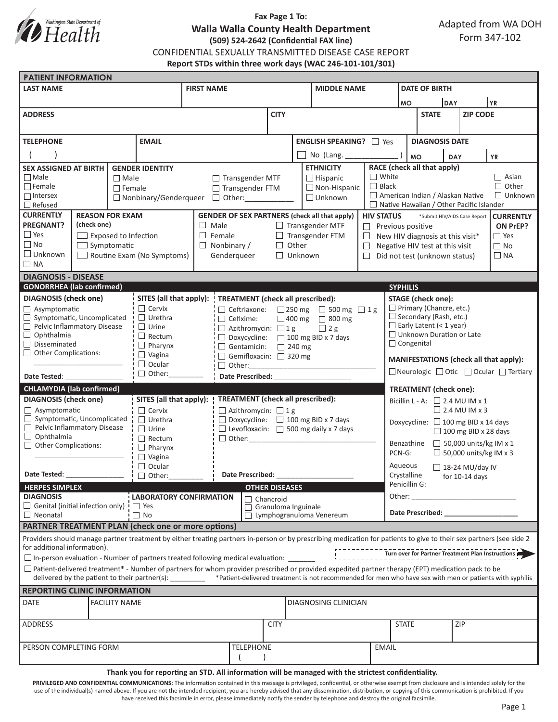

## **Fax Page 1 To: Walla Walla County Health Department (509) 524-2642 (Confidential FAX line)** CONFIDENTIAL SEXUALLY TRANSMITTED DISEASE CASE REPORT **Report STDs within three work days (WAC 246-101-101/301)**

| <b>PATIENT INFORMATION</b>                                                                                                                                          |                                                                                                                                                                                                                                                                                                                                                                                                                        |               |                                  |                      |                                                      |                                                                                           |                                                   |                                                |                                                         |                                                                                                                                                                                                                                |                                                                               |                                 |                 |              |                                                   |  |  |  |
|---------------------------------------------------------------------------------------------------------------------------------------------------------------------|------------------------------------------------------------------------------------------------------------------------------------------------------------------------------------------------------------------------------------------------------------------------------------------------------------------------------------------------------------------------------------------------------------------------|---------------|----------------------------------|----------------------|------------------------------------------------------|-------------------------------------------------------------------------------------------|---------------------------------------------------|------------------------------------------------|---------------------------------------------------------|--------------------------------------------------------------------------------------------------------------------------------------------------------------------------------------------------------------------------------|-------------------------------------------------------------------------------|---------------------------------|-----------------|--------------|---------------------------------------------------|--|--|--|
| <b>LAST NAME</b>                                                                                                                                                    |                                                                                                                                                                                                                                                                                                                                                                                                                        |               | <b>FIRST NAME</b>                |                      |                                                      |                                                                                           | <b>MIDDLE NAME</b>                                |                                                |                                                         | <b>DATE OF BIRTH</b>                                                                                                                                                                                                           |                                                                               |                                 |                 |              |                                                   |  |  |  |
|                                                                                                                                                                     |                                                                                                                                                                                                                                                                                                                                                                                                                        |               |                                  |                      |                                                      |                                                                                           |                                                   |                                                |                                                         | <b>DAY</b><br><b>MO</b>                                                                                                                                                                                                        |                                                                               |                                 | YR)             |              |                                                   |  |  |  |
| <b>ADDRESS</b>                                                                                                                                                      |                                                                                                                                                                                                                                                                                                                                                                                                                        |               |                                  |                      |                                                      | <b>CITY</b>                                                                               |                                                   |                                                |                                                         |                                                                                                                                                                                                                                | <b>STATE</b>                                                                  |                                 | <b>ZIP CODE</b> |              |                                                   |  |  |  |
|                                                                                                                                                                     |                                                                                                                                                                                                                                                                                                                                                                                                                        |               |                                  |                      |                                                      |                                                                                           |                                                   |                                                |                                                         |                                                                                                                                                                                                                                |                                                                               |                                 |                 |              |                                                   |  |  |  |
|                                                                                                                                                                     |                                                                                                                                                                                                                                                                                                                                                                                                                        |               |                                  |                      |                                                      |                                                                                           |                                                   |                                                |                                                         |                                                                                                                                                                                                                                |                                                                               |                                 |                 |              |                                                   |  |  |  |
| <b>EMAIL</b><br><b>TELEPHONE</b>                                                                                                                                    |                                                                                                                                                                                                                                                                                                                                                                                                                        |               |                                  |                      |                                                      | <b>ENGLISH SPEAKING?</b> □ Yes                                                            |                                                   |                                                |                                                         |                                                                                                                                                                                                                                | <b>DIAGNOSIS DATE</b>                                                         |                                 |                 |              |                                                   |  |  |  |
|                                                                                                                                                                     |                                                                                                                                                                                                                                                                                                                                                                                                                        |               |                                  |                      |                                                      |                                                                                           |                                                   |                                                | No (Lang. _____                                         |                                                                                                                                                                                                                                |                                                                               | <b>MO</b>                       | <b>DAY</b>      |              | <b>YR</b>                                         |  |  |  |
| <b>SEX ASSIGNED AT BIRTH</b>                                                                                                                                        |                                                                                                                                                                                                                                                                                                                                                                                                                        |               | <b>GENDER IDENTITY</b>           |                      |                                                      |                                                                                           | <b>ETHNICITY</b>                                  |                                                |                                                         |                                                                                                                                                                                                                                | RACE (check all that apply)                                                   |                                 |                 |              |                                                   |  |  |  |
| $\Box$ Male                                                                                                                                                         |                                                                                                                                                                                                                                                                                                                                                                                                                        | $\Box$ Male   |                                  |                      | $\Box$ Transgender MTF                               |                                                                                           |                                                   | $\Box$ Hispanic                                | $\Box$ White                                            |                                                                                                                                                                                                                                |                                                                               |                                 |                 | $\Box$ Asian |                                                   |  |  |  |
| $\Box$ Female                                                                                                                                                       |                                                                                                                                                                                                                                                                                                                                                                                                                        | $\Box$ Female |                                  | □ Transgender FTM    |                                                      |                                                                                           | $\Box$ Non-Hispanic                               |                                                |                                                         | $\Box$ Black                                                                                                                                                                                                                   | $\Box$ Other<br>American Indian / Alaskan Native<br>$\Box$ Unknown            |                                 |                 |              |                                                   |  |  |  |
| $\Box$ Intersex                                                                                                                                                     |                                                                                                                                                                                                                                                                                                                                                                                                                        |               | □ Nonbinary/Genderqueer □ Other: |                      |                                                      |                                                                                           | $\Box$ Unknown                                    |                                                |                                                         |                                                                                                                                                                                                                                | $\Box$ Native Hawaiian / Other Pacific Islander                               |                                 |                 |              |                                                   |  |  |  |
| $\Box$ Refused<br><b>CURRENTLY</b><br><b>REASON FOR EXAM</b>                                                                                                        |                                                                                                                                                                                                                                                                                                                                                                                                                        |               |                                  |                      |                                                      |                                                                                           |                                                   |                                                | <b>CURRENTLY</b>                                        |                                                                                                                                                                                                                                |                                                                               |                                 |                 |              |                                                   |  |  |  |
| <b>PREGNANT?</b><br>(check one)                                                                                                                                     |                                                                                                                                                                                                                                                                                                                                                                                                                        |               |                                  |                      | <b>GENDER OF SEX PARTNERS (check all that apply)</b> |                                                                                           |                                                   | <b>HIV STATUS</b>                              |                                                         |                                                                                                                                                                                                                                | *Submit HIV/AIDS Case Report                                                  |                                 |                 |              |                                                   |  |  |  |
| $\Box$ Yes                                                                                                                                                          |                                                                                                                                                                                                                                                                                                                                                                                                                        |               | $\Box$ Male<br>$\Box$ Female     |                      |                                                      | $\Box$ Transgender MTF<br>□ Transgender FTM<br>$\Box$                                     |                                                   |                                                |                                                         | $\Box$ Previous positive<br>ON PrEP?<br>$\Box$ Yes<br>New HIV diagnosis at this visit*                                                                                                                                         |                                                                               |                                 |                 |              |                                                   |  |  |  |
| $\Box$ No                                                                                                                                                           | $\Box$ Exposed to Infection<br>$\Box$ Symptomatic                                                                                                                                                                                                                                                                                                                                                                      |               |                                  | $\Box$ Nonbinary /   |                                                      |                                                                                           | $\Box$ Other<br>$\Box$                            |                                                |                                                         |                                                                                                                                                                                                                                | $\Box$ No                                                                     |                                 |                 |              |                                                   |  |  |  |
| $\Box$ Unknown<br>$\Box$ Routine Exam (No Symptoms)                                                                                                                 |                                                                                                                                                                                                                                                                                                                                                                                                                        |               | Genderqueer                      |                      |                                                      |                                                                                           | $\Box$ Unknown<br>$\Box$                          |                                                |                                                         |                                                                                                                                                                                                                                | Negative HIV test at this visit<br>$\Box$ NA<br>Did not test (unknown status) |                                 |                 |              |                                                   |  |  |  |
| $\Box$ NA                                                                                                                                                           |                                                                                                                                                                                                                                                                                                                                                                                                                        |               |                                  |                      |                                                      |                                                                                           |                                                   |                                                |                                                         |                                                                                                                                                                                                                                |                                                                               |                                 |                 |              |                                                   |  |  |  |
| <b>DIAGNOSIS - DISEASE</b>                                                                                                                                          |                                                                                                                                                                                                                                                                                                                                                                                                                        |               |                                  |                      |                                                      |                                                                                           |                                                   |                                                |                                                         |                                                                                                                                                                                                                                |                                                                               |                                 |                 |              |                                                   |  |  |  |
| <b>GONORRHEA</b> (lab confirmed)<br><b>SYPHILIS</b>                                                                                                                 |                                                                                                                                                                                                                                                                                                                                                                                                                        |               |                                  |                      |                                                      |                                                                                           |                                                   |                                                |                                                         |                                                                                                                                                                                                                                |                                                                               |                                 |                 |              |                                                   |  |  |  |
| <b>DIAGNOSIS</b> (check one)                                                                                                                                        |                                                                                                                                                                                                                                                                                                                                                                                                                        |               | SITES (all that apply):          |                      |                                                      |                                                                                           |                                                   |                                                |                                                         |                                                                                                                                                                                                                                |                                                                               |                                 |                 |              |                                                   |  |  |  |
| $\Box$ Asymptomatic                                                                                                                                                 |                                                                                                                                                                                                                                                                                                                                                                                                                        |               | $\Box$ Cervix                    |                      |                                                      | <b>TREATMENT</b> (check all prescribed):<br>$\Box$ Ceftriaxone:<br>□ 250 mg □ 500 mg □ 1g |                                                   |                                                |                                                         |                                                                                                                                                                                                                                | <b>STAGE</b> (check one):<br>Primary (Chancre, etc.)                          |                                 |                 |              |                                                   |  |  |  |
| Symptomatic, Uncomplicated<br>$\Box$                                                                                                                                |                                                                                                                                                                                                                                                                                                                                                                                                                        |               | $\Box$ Urethra                   |                      | $\Box$ Cefixime:                                     |                                                                                           |                                                   |                                                |                                                         |                                                                                                                                                                                                                                | $\Box$ Secondary (Rash, etc.)                                                 |                                 |                 |              |                                                   |  |  |  |
| Pelvic Inflammatory Disease                                                                                                                                         |                                                                                                                                                                                                                                                                                                                                                                                                                        |               | $\Box$ Urine                     |                      |                                                      | $\Box$ 400 mg $\Box$ 800 mg<br>$\Box$ Azithromycin: $\Box$ 1 g<br>$\Box$ 2 g              |                                                   |                                                |                                                         |                                                                                                                                                                                                                                |                                                                               | $\Box$ Early Latent (< 1 year)  |                 |              |                                                   |  |  |  |
| $\Box$ Ophthalmia                                                                                                                                                   |                                                                                                                                                                                                                                                                                                                                                                                                                        |               | $\Box$ Rectum                    |                      |                                                      | $\Box$ Doxycycline: $\Box$ 100 mg BID x 7 days                                            |                                                   |                                                |                                                         |                                                                                                                                                                                                                                |                                                                               | $\Box$ Unknown Duration or Late |                 |              |                                                   |  |  |  |
| $\Box$ Disseminated                                                                                                                                                 |                                                                                                                                                                                                                                                                                                                                                                                                                        |               | $\Box$ Pharynx                   |                      |                                                      |                                                                                           | $\Box$ Gentamicin:<br>$\Box$ 240 mg               |                                                |                                                         |                                                                                                                                                                                                                                |                                                                               | $\Box$ Congenital               |                 |              |                                                   |  |  |  |
| $\Box$ Other Complications:                                                                                                                                         |                                                                                                                                                                                                                                                                                                                                                                                                                        |               | $\Box$ Vagina                    |                      |                                                      | Gemifloxacin: 320 mg                                                                      |                                                   |                                                |                                                         |                                                                                                                                                                                                                                |                                                                               |                                 |                 |              |                                                   |  |  |  |
|                                                                                                                                                                     |                                                                                                                                                                                                                                                                                                                                                                                                                        |               | $\Box$ Ocular                    |                      |                                                      |                                                                                           |                                                   |                                                |                                                         |                                                                                                                                                                                                                                | MANIFESTATIONS (check all that apply):                                        |                                 |                 |              |                                                   |  |  |  |
| Date Tested:                                                                                                                                                        |                                                                                                                                                                                                                                                                                                                                                                                                                        |               | $\Box$ Other:                    |                      |                                                      | Date Prescribed: National Prescribed:                                                     |                                                   |                                                |                                                         |                                                                                                                                                                                                                                | □ Neurologic □ Otic □ Ocular □ Tertiary                                       |                                 |                 |              |                                                   |  |  |  |
| <b>CHLAMYDIA (lab confirmed)</b>                                                                                                                                    |                                                                                                                                                                                                                                                                                                                                                                                                                        |               |                                  |                      |                                                      |                                                                                           |                                                   |                                                |                                                         |                                                                                                                                                                                                                                |                                                                               | <b>TREATMENT</b> (check one):   |                 |              |                                                   |  |  |  |
| <b>DIAGNOSIS</b> (check one)                                                                                                                                        |                                                                                                                                                                                                                                                                                                                                                                                                                        |               | SITES (all that apply):          |                      | <b>TREATMENT</b> (check all prescribed):             |                                                                                           |                                                   |                                                |                                                         | Bicillin L - A: $\Box$ 2.4 MU IM x 1                                                                                                                                                                                           |                                                                               |                                 |                 |              |                                                   |  |  |  |
| $\Box$ Asymptomatic                                                                                                                                                 |                                                                                                                                                                                                                                                                                                                                                                                                                        |               | $\Box$ Cervix                    |                      | $\Box$ Azithromycin: $\Box$ 1 g                      |                                                                                           |                                                   |                                                |                                                         |                                                                                                                                                                                                                                |                                                                               | $\Box$ 2.4 MU IM x 3            |                 |              |                                                   |  |  |  |
| $\Box$ Symptomatic, Uncomplicated                                                                                                                                   |                                                                                                                                                                                                                                                                                                                                                                                                                        |               | $\Box$ Urethra                   |                      |                                                      |                                                                                           |                                                   | $\Box$ Doxycycline: $\Box$ 100 mg BID x 7 days |                                                         |                                                                                                                                                                                                                                | Doxycycline: □ 100 mg BID x 14 days                                           |                                 |                 |              |                                                   |  |  |  |
| Pelvic Inflammatory Disease<br>$\Box$ Ophthalmia                                                                                                                    |                                                                                                                                                                                                                                                                                                                                                                                                                        |               | $\Box$ Urine                     |                      |                                                      |                                                                                           | $\Box$ Levofloxacin: $\Box$ 500 mg daily x 7 days |                                                |                                                         |                                                                                                                                                                                                                                | $\Box$ 100 mg BID x 28 days<br>$\Box$ 50,000 units/kg IM x 1<br>Benzathine    |                                 |                 |              |                                                   |  |  |  |
| $\Box$ Other Complications:                                                                                                                                         |                                                                                                                                                                                                                                                                                                                                                                                                                        |               | $\Box$ Rectum                    | $\Box$ Other:        |                                                      |                                                                                           |                                                   |                                                |                                                         |                                                                                                                                                                                                                                |                                                                               |                                 |                 |              |                                                   |  |  |  |
|                                                                                                                                                                     |                                                                                                                                                                                                                                                                                                                                                                                                                        |               | $\Box$ Pharynx<br>$\Box$ Vagina  |                      |                                                      |                                                                                           |                                                   |                                                |                                                         |                                                                                                                                                                                                                                | $\Box$ 50,000 units/kg IM x 3<br>PCN-G:                                       |                                 |                 |              |                                                   |  |  |  |
|                                                                                                                                                                     |                                                                                                                                                                                                                                                                                                                                                                                                                        |               | $\Box$ Ocular                    |                      |                                                      |                                                                                           |                                                   |                                                | Aqueous                                                 |                                                                                                                                                                                                                                |                                                                               |                                 |                 |              |                                                   |  |  |  |
|                                                                                                                                                                     |                                                                                                                                                                                                                                                                                                                                                                                                                        |               | $\Box$ Other:                    |                      | <b>Date Prescribed:</b>                              |                                                                                           |                                                   |                                                | $\Box$ 18-24 MU/day IV<br>Crystalline<br>for 10-14 days |                                                                                                                                                                                                                                |                                                                               |                                 |                 |              |                                                   |  |  |  |
| <b>HERPES SIMPLEX</b>                                                                                                                                               |                                                                                                                                                                                                                                                                                                                                                                                                                        |               |                                  |                      |                                                      | <b>OTHER DISEASES</b>                                                                     |                                                   |                                                |                                                         | Penicillin G:                                                                                                                                                                                                                  |                                                                               |                                 |                 |              |                                                   |  |  |  |
| <b>DIAGNOSIS</b>                                                                                                                                                    | <b>LABORATORY CONFIRMATION</b>                                                                                                                                                                                                                                                                                                                                                                                         |               |                                  |                      |                                                      |                                                                                           |                                                   |                                                | Other:<br><u> 1990 - Johann Barnett, mars a</u>         |                                                                                                                                                                                                                                |                                                                               |                                 |                 |              |                                                   |  |  |  |
| $\Box$ Genital (initial infection only) $\Box$ Yes                                                                                                                  |                                                                                                                                                                                                                                                                                                                                                                                                                        |               |                                  |                      | $\Box$ Chancroid<br>Granuloma Inguinale<br>□         |                                                                                           |                                                   |                                                |                                                         |                                                                                                                                                                                                                                |                                                                               |                                 |                 |              |                                                   |  |  |  |
| $\Box$ No<br>$\Box$ Neonatal                                                                                                                                        |                                                                                                                                                                                                                                                                                                                                                                                                                        |               |                                  |                      | П                                                    | Lymphogranuloma Venereum                                                                  |                                                   |                                                |                                                         | Date Prescribed: Note that the present of the state of the state of the state of the state of the state of the state of the state of the state of the state of the state of the state of the state of the state of the state o |                                                                               |                                 |                 |              |                                                   |  |  |  |
| <b>PARTNER TREATMENT PLAN (check one or more options)</b>                                                                                                           |                                                                                                                                                                                                                                                                                                                                                                                                                        |               |                                  |                      |                                                      |                                                                                           |                                                   |                                                |                                                         |                                                                                                                                                                                                                                |                                                                               |                                 |                 |              |                                                   |  |  |  |
| Providers should manage partner treatment by either treating partners in-person or by prescribing medication for patients to give to their sex partners (see side 2 |                                                                                                                                                                                                                                                                                                                                                                                                                        |               |                                  |                      |                                                      |                                                                                           |                                                   |                                                |                                                         |                                                                                                                                                                                                                                |                                                                               |                                 |                 |              |                                                   |  |  |  |
| for additional information).                                                                                                                                        |                                                                                                                                                                                                                                                                                                                                                                                                                        |               |                                  |                      |                                                      |                                                                                           |                                                   |                                                |                                                         |                                                                                                                                                                                                                                |                                                                               |                                 |                 |              | Turn over for Partner Treatment Plan Instructions |  |  |  |
|                                                                                                                                                                     |                                                                                                                                                                                                                                                                                                                                                                                                                        |               |                                  |                      |                                                      |                                                                                           |                                                   |                                                |                                                         |                                                                                                                                                                                                                                |                                                                               |                                 |                 |              |                                                   |  |  |  |
|                                                                                                                                                                     | $\square$ In-person evaluation - Number of partners treated following medical evaluation:<br>$\Box$ Patient-delivered treatment* - Number of partners for whom provider prescribed or provided expedited partner therapy (EPT) medication pack to be<br>delivered by the patient to their partner(s): ________ *Patient-delivered treatment is not recommended for men who have sex with men or patients with syphilis |               |                                  |                      |                                                      |                                                                                           |                                                   |                                                |                                                         |                                                                                                                                                                                                                                |                                                                               |                                 |                 |              |                                                   |  |  |  |
|                                                                                                                                                                     |                                                                                                                                                                                                                                                                                                                                                                                                                        |               |                                  |                      |                                                      |                                                                                           |                                                   |                                                |                                                         |                                                                                                                                                                                                                                |                                                                               |                                 |                 |              |                                                   |  |  |  |
| <b>REPORTING CLINIC INFORMATION</b>                                                                                                                                 |                                                                                                                                                                                                                                                                                                                                                                                                                        |               |                                  |                      |                                                      |                                                                                           |                                                   |                                                |                                                         |                                                                                                                                                                                                                                |                                                                               |                                 |                 |              |                                                   |  |  |  |
| DATE                                                                                                                                                                | <b>FACILITY NAME</b>                                                                                                                                                                                                                                                                                                                                                                                                   |               |                                  | DIAGNOSING CLINICIAN |                                                      |                                                                                           |                                                   |                                                |                                                         |                                                                                                                                                                                                                                |                                                                               |                                 |                 |              |                                                   |  |  |  |
| ADDRESS                                                                                                                                                             |                                                                                                                                                                                                                                                                                                                                                                                                                        |               |                                  |                      | <b>CITY</b>                                          |                                                                                           |                                                   |                                                |                                                         |                                                                                                                                                                                                                                | <b>STATE</b>                                                                  |                                 | ZIP             |              |                                                   |  |  |  |
| PERSON COMPLETING FORM                                                                                                                                              |                                                                                                                                                                                                                                                                                                                                                                                                                        |               | <b>TELEPHONE</b>                 |                      |                                                      |                                                                                           |                                                   |                                                | <b>EMAIL</b>                                            |                                                                                                                                                                                                                                |                                                                               |                                 |                 |              |                                                   |  |  |  |
|                                                                                                                                                                     |                                                                                                                                                                                                                                                                                                                                                                                                                        |               |                                  |                      |                                                      |                                                                                           |                                                   |                                                |                                                         |                                                                                                                                                                                                                                |                                                                               |                                 |                 |              |                                                   |  |  |  |
|                                                                                                                                                                     |                                                                                                                                                                                                                                                                                                                                                                                                                        |               |                                  |                      |                                                      |                                                                                           |                                                   |                                                |                                                         |                                                                                                                                                                                                                                |                                                                               |                                 |                 |              |                                                   |  |  |  |

#### **Thank you for reporting an STD. All information will be managed with the strictest confidentiality.**

PRIVILEGED AND CONFIDENTIAL COMMUNICATIONS: The information contained in this message is privileged, confidential, or otherwise exempt from disclosure and is intended solely for the use of the individual(s) named above. If you are not the intended recipient, you are hereby advised that any dissemination, distribution, or copying of this communication is prohibited. If you have received this facsimile in error, please immediately notify the sender by telephone and destroy the original facsimile.